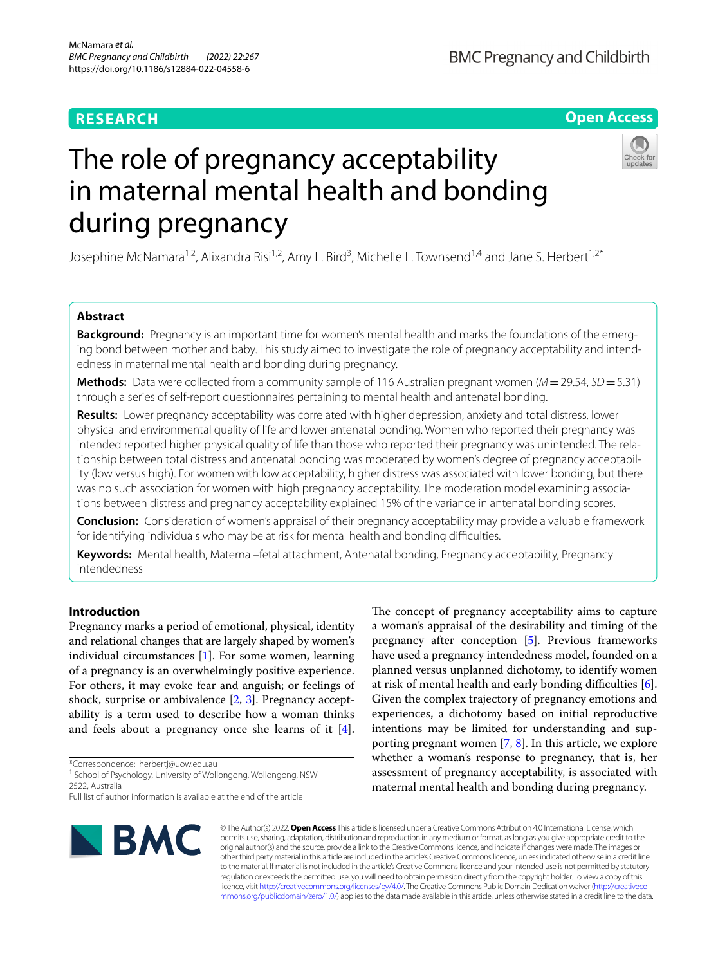# **RESEARCH**

# **Open Access**



# The role of pregnancy acceptability in maternal mental health and bonding during pregnancy

Josephine McNamara<sup>1,2</sup>, Alixandra Risi<sup>1,2</sup>, Amy L. Bird<sup>3</sup>, Michelle L. Townsend<sup>1,4</sup> and Jane S. Herbert<sup>1,2\*</sup>

## **Abstract**

**Background:** Pregnancy is an important time for women's mental health and marks the foundations of the emerging bond between mother and baby. This study aimed to investigate the role of pregnancy acceptability and intendedness in maternal mental health and bonding during pregnancy.

**Methods:** Data were collected from a community sample of 116 Australian pregnant women (*M*=29.54, *SD*=5.31) through a series of self-report questionnaires pertaining to mental health and antenatal bonding.

**Results:** Lower pregnancy acceptability was correlated with higher depression, anxiety and total distress, lower physical and environmental quality of life and lower antenatal bonding. Women who reported their pregnancy was intended reported higher physical quality of life than those who reported their pregnancy was unintended. The relationship between total distress and antenatal bonding was moderated by women's degree of pregnancy acceptability (low versus high). For women with low acceptability, higher distress was associated with lower bonding, but there was no such association for women with high pregnancy acceptability. The moderation model examining associations between distress and pregnancy acceptability explained 15% of the variance in antenatal bonding scores.

**Conclusion:** Consideration of women's appraisal of their pregnancy acceptability may provide a valuable framework for identifying individuals who may be at risk for mental health and bonding difficulties.

**Keywords:** Mental health, Maternal–fetal attachment, Antenatal bonding, Pregnancy acceptability, Pregnancy intendedness

## **Introduction**

Pregnancy marks a period of emotional, physical, identity and relational changes that are largely shaped by women's individual circumstances [[1\]](#page-7-0). For some women, learning of a pregnancy is an overwhelmingly positive experience. For others, it may evoke fear and anguish; or feelings of shock, surprise or ambivalence [\[2](#page-7-1), [3](#page-7-2)]. Pregnancy acceptability is a term used to describe how a woman thinks and feels about a pregnancy once she learns of it  $[4]$  $[4]$ .

\*Correspondence: herbertj@uow.edu.au

<sup>1</sup> School of Psychology, University of Wollongong, Wollongong, NSW 2522, Australia

Full list of author information is available at the end of the article



The concept of pregnancy acceptability aims to capture a woman's appraisal of the desirability and timing of the pregnancy after conception [[5](#page-7-4)]. Previous frameworks have used a pregnancy intendedness model, founded on a planned versus unplanned dichotomy, to identify women at risk of mental health and early bonding difficulties [\[6](#page-7-5)]. Given the complex trajectory of pregnancy emotions and experiences, a dichotomy based on initial reproductive intentions may be limited for understanding and supporting pregnant women [[7,](#page-7-6) [8](#page-7-7)]. In this article, we explore whether a woman's response to pregnancy, that is, her assessment of pregnancy acceptability, is associated with maternal mental health and bonding during pregnancy.

© The Author(s) 2022. **Open Access** This article is licensed under a Creative Commons Attribution 4.0 International License, which permits use, sharing, adaptation, distribution and reproduction in any medium or format, as long as you give appropriate credit to the original author(s) and the source, provide a link to the Creative Commons licence, and indicate if changes were made. The images or other third party material in this article are included in the article's Creative Commons licence, unless indicated otherwise in a credit line to the material. If material is not included in the article's Creative Commons licence and your intended use is not permitted by statutory regulation or exceeds the permitted use, you will need to obtain permission directly from the copyright holder. To view a copy of this licence, visit [http://creativecommons.org/licenses/by/4.0/.](http://creativecommons.org/licenses/by/4.0/) The Creative Commons Public Domain Dedication waiver ([http://creativeco](http://creativecommons.org/publicdomain/zero/1.0/) [mmons.org/publicdomain/zero/1.0/](http://creativecommons.org/publicdomain/zero/1.0/)) applies to the data made available in this article, unless otherwise stated in a credit line to the data.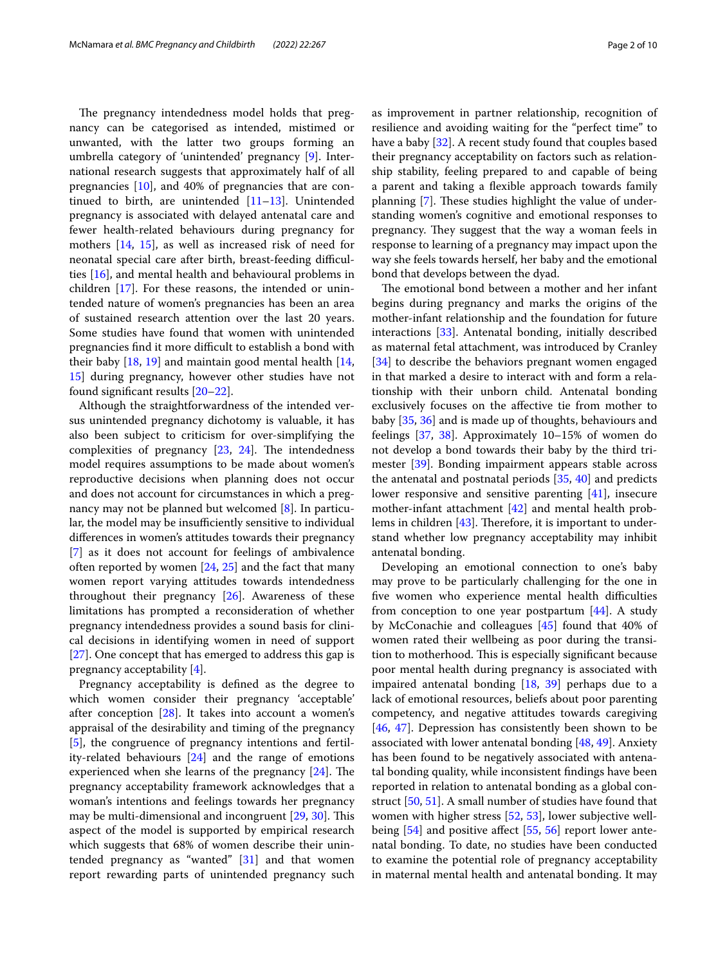The pregnancy intendedness model holds that pregnancy can be categorised as intended, mistimed or unwanted, with the latter two groups forming an umbrella category of 'unintended' pregnancy [[9\]](#page-7-8). International research suggests that approximately half of all pregnancies [[10\]](#page-7-9), and 40% of pregnancies that are continued to birth, are unintended  $[11-13]$  $[11-13]$ . Unintended pregnancy is associated with delayed antenatal care and fewer health-related behaviours during pregnancy for mothers [\[14,](#page-7-12) [15](#page-8-0)], as well as increased risk of need for neonatal special care after birth, breast-feeding difficulties [[16\]](#page-8-1), and mental health and behavioural problems in children [[17\]](#page-8-2). For these reasons, the intended or unintended nature of women's pregnancies has been an area of sustained research attention over the last 20 years. Some studies have found that women with unintended pregnancies find it more difficult to establish a bond with their baby [\[18](#page-8-3), [19\]](#page-8-4) and maintain good mental health [\[14](#page-7-12), [15\]](#page-8-0) during pregnancy, however other studies have not found signifcant results [\[20](#page-8-5)[–22\]](#page-8-6).

Although the straightforwardness of the intended versus unintended pregnancy dichotomy is valuable, it has also been subject to criticism for over-simplifying the complexities of pregnancy  $[23, 24]$  $[23, 24]$  $[23, 24]$  $[23, 24]$ . The intendedness model requires assumptions to be made about women's reproductive decisions when planning does not occur and does not account for circumstances in which a pregnancy may not be planned but welcomed [[8\]](#page-7-7). In particular, the model may be insufficiently sensitive to individual diferences in women's attitudes towards their pregnancy [[7\]](#page-7-6) as it does not account for feelings of ambivalence often reported by women  $[24, 25]$  $[24, 25]$  $[24, 25]$  and the fact that many women report varying attitudes towards intendedness throughout their pregnancy [\[26](#page-8-10)]. Awareness of these limitations has prompted a reconsideration of whether pregnancy intendedness provides a sound basis for clinical decisions in identifying women in need of support [[27\]](#page-8-11). One concept that has emerged to address this gap is pregnancy acceptability [[4\]](#page-7-3).

Pregnancy acceptability is defned as the degree to which women consider their pregnancy 'acceptable' after conception [\[28](#page-8-12)]. It takes into account a women's appraisal of the desirability and timing of the pregnancy [[5\]](#page-7-4), the congruence of pregnancy intentions and fertility-related behaviours [\[24](#page-8-8)] and the range of emotions experienced when she learns of the pregnancy  $[24]$  $[24]$  $[24]$ . The pregnancy acceptability framework acknowledges that a woman's intentions and feelings towards her pregnancy may be multi-dimensional and incongruent [[29](#page-8-13), [30](#page-8-14)]. This aspect of the model is supported by empirical research which suggests that 68% of women describe their unintended pregnancy as "wanted" [\[31\]](#page-8-15) and that women report rewarding parts of unintended pregnancy such as improvement in partner relationship, recognition of resilience and avoiding waiting for the "perfect time" to have a baby [\[32](#page-8-16)]. A recent study found that couples based their pregnancy acceptability on factors such as relationship stability, feeling prepared to and capable of being a parent and taking a fexible approach towards family planning [\[7](#page-7-6)]. These studies highlight the value of understanding women's cognitive and emotional responses to pregnancy. They suggest that the way a woman feels in response to learning of a pregnancy may impact upon the way she feels towards herself, her baby and the emotional bond that develops between the dyad.

The emotional bond between a mother and her infant begins during pregnancy and marks the origins of the mother-infant relationship and the foundation for future interactions [\[33](#page-8-17)]. Antenatal bonding, initially described as maternal fetal attachment, was introduced by Cranley [[34\]](#page-8-18) to describe the behaviors pregnant women engaged in that marked a desire to interact with and form a relationship with their unborn child. Antenatal bonding exclusively focuses on the afective tie from mother to baby [[35](#page-8-19), [36](#page-8-20)] and is made up of thoughts, behaviours and feelings [\[37](#page-8-21), [38\]](#page-8-22). Approximately 10–15% of women do not develop a bond towards their baby by the third trimester [[39\]](#page-8-23). Bonding impairment appears stable across the antenatal and postnatal periods [[35](#page-8-19), [40](#page-8-24)] and predicts lower responsive and sensitive parenting [[41](#page-8-25)], insecure mother-infant attachment [\[42](#page-8-26)] and mental health problems in children  $[43]$  $[43]$ . Therefore, it is important to understand whether low pregnancy acceptability may inhibit antenatal bonding.

Developing an emotional connection to one's baby may prove to be particularly challenging for the one in five women who experience mental health difficulties from conception to one year postpartum [\[44](#page-8-28)]. A study by McConachie and colleagues [[45\]](#page-8-29) found that 40% of women rated their wellbeing as poor during the transition to motherhood. This is especially significant because poor mental health during pregnancy is associated with impaired antenatal bonding [\[18,](#page-8-3) [39\]](#page-8-23) perhaps due to a lack of emotional resources, beliefs about poor parenting competency, and negative attitudes towards caregiving [[46,](#page-8-30) [47\]](#page-8-31). Depression has consistently been shown to be associated with lower antenatal bonding [\[48](#page-8-32), [49\]](#page-8-33). Anxiety has been found to be negatively associated with antenatal bonding quality, while inconsistent fndings have been reported in relation to antenatal bonding as a global construct [\[50](#page-8-34), [51](#page-8-35)]. A small number of studies have found that women with higher stress [[52](#page-8-36), [53](#page-8-37)], lower subjective well-being [\[54](#page-8-38)] and positive affect [\[55](#page-8-39), [56](#page-8-40)] report lower antenatal bonding. To date, no studies have been conducted to examine the potential role of pregnancy acceptability in maternal mental health and antenatal bonding. It may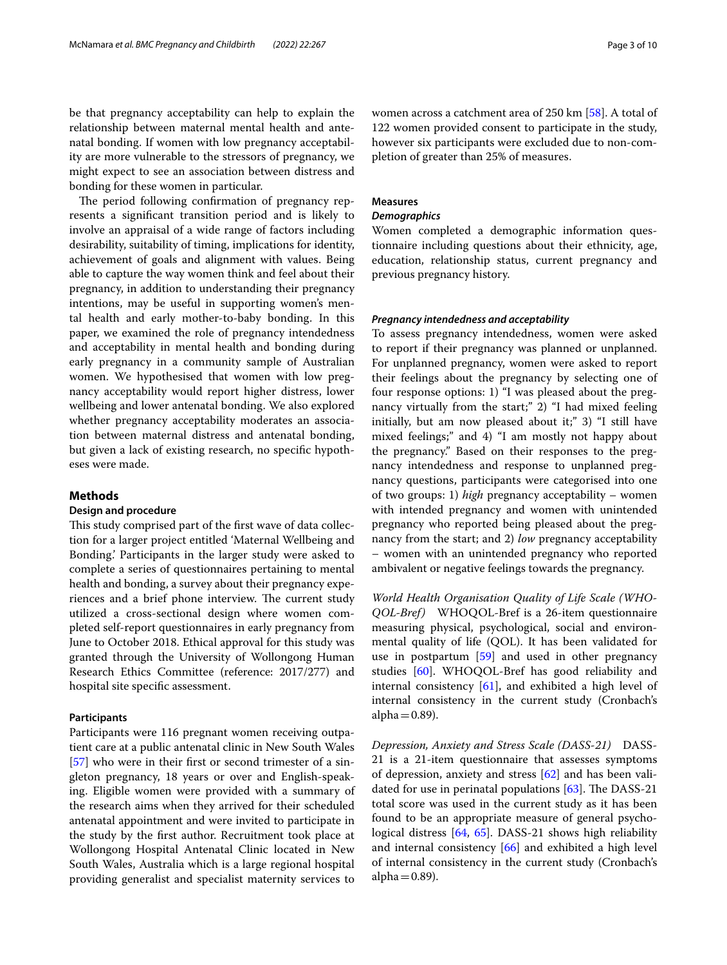be that pregnancy acceptability can help to explain the relationship between maternal mental health and antenatal bonding. If women with low pregnancy acceptability are more vulnerable to the stressors of pregnancy, we might expect to see an association between distress and bonding for these women in particular.

The period following confirmation of pregnancy represents a signifcant transition period and is likely to involve an appraisal of a wide range of factors including desirability, suitability of timing, implications for identity, achievement of goals and alignment with values. Being able to capture the way women think and feel about their pregnancy, in addition to understanding their pregnancy intentions, may be useful in supporting women's mental health and early mother-to-baby bonding. In this paper, we examined the role of pregnancy intendedness and acceptability in mental health and bonding during early pregnancy in a community sample of Australian women. We hypothesised that women with low pregnancy acceptability would report higher distress, lower wellbeing and lower antenatal bonding. We also explored whether pregnancy acceptability moderates an association between maternal distress and antenatal bonding, but given a lack of existing research, no specifc hypotheses were made.

#### **Methods**

#### **Design and procedure**

This study comprised part of the first wave of data collection for a larger project entitled 'Maternal Wellbeing and Bonding.' Participants in the larger study were asked to complete a series of questionnaires pertaining to mental health and bonding, a survey about their pregnancy experiences and a brief phone interview. The current study utilized a cross-sectional design where women completed self-report questionnaires in early pregnancy from June to October 2018. Ethical approval for this study was granted through the University of Wollongong Human Research Ethics Committee (reference: 2017/277) and hospital site specifc assessment.

#### **Participants**

Participants were 116 pregnant women receiving outpatient care at a public antenatal clinic in New South Wales [[57\]](#page-8-41) who were in their first or second trimester of a singleton pregnancy, 18 years or over and English-speaking. Eligible women were provided with a summary of the research aims when they arrived for their scheduled antenatal appointment and were invited to participate in the study by the frst author. Recruitment took place at Wollongong Hospital Antenatal Clinic located in New South Wales, Australia which is a large regional hospital providing generalist and specialist maternity services to women across a catchment area of 250 km [[58\]](#page-8-42). A total of 122 women provided consent to participate in the study, however six participants were excluded due to non-completion of greater than 25% of measures.

#### **Measures**

#### *Demographics*

Women completed a demographic information questionnaire including questions about their ethnicity, age, education, relationship status, current pregnancy and previous pregnancy history.

#### *Pregnancy intendedness and acceptability*

To assess pregnancy intendedness, women were asked to report if their pregnancy was planned or unplanned. For unplanned pregnancy, women were asked to report their feelings about the pregnancy by selecting one of four response options: 1) "I was pleased about the pregnancy virtually from the start;" 2) "I had mixed feeling initially, but am now pleased about it;" 3) "I still have mixed feelings;" and 4) "I am mostly not happy about the pregnancy." Based on their responses to the pregnancy intendedness and response to unplanned pregnancy questions, participants were categorised into one of two groups: 1) *high* pregnancy acceptability – women with intended pregnancy and women with unintended pregnancy who reported being pleased about the pregnancy from the start; and 2) *low* pregnancy acceptability – women with an unintended pregnancy who reported ambivalent or negative feelings towards the pregnancy.

*World Health Organisation Quality of Life Scale (WHO‑ QOL‑Bref)* WHOQOL-Bref is a 26-item questionnaire measuring physical, psychological, social and environmental quality of life (QOL). It has been validated for use in postpartum [[59\]](#page-8-43) and used in other pregnancy studies [[60\]](#page-8-44). WHOQOL-Bref has good reliability and internal consistency [[61\]](#page-8-45), and exhibited a high level of internal consistency in the current study (Cronbach's alpha $=0.89$ ).

*Depression, Anxiety and Stress Scale (DASS‑21)* DASS-21 is a 21-item questionnaire that assesses symptoms of depression, anxiety and stress [\[62\]](#page-9-0) and has been validated for use in perinatal populations  $[63]$  $[63]$ . The DASS-21 total score was used in the current study as it has been found to be an appropriate measure of general psychological distress [[64,](#page-9-2) [65\]](#page-9-3). DASS-21 shows high reliability and internal consistency [\[66](#page-9-4)] and exhibited a high level of internal consistency in the current study (Cronbach's alpha $=0.89$ ).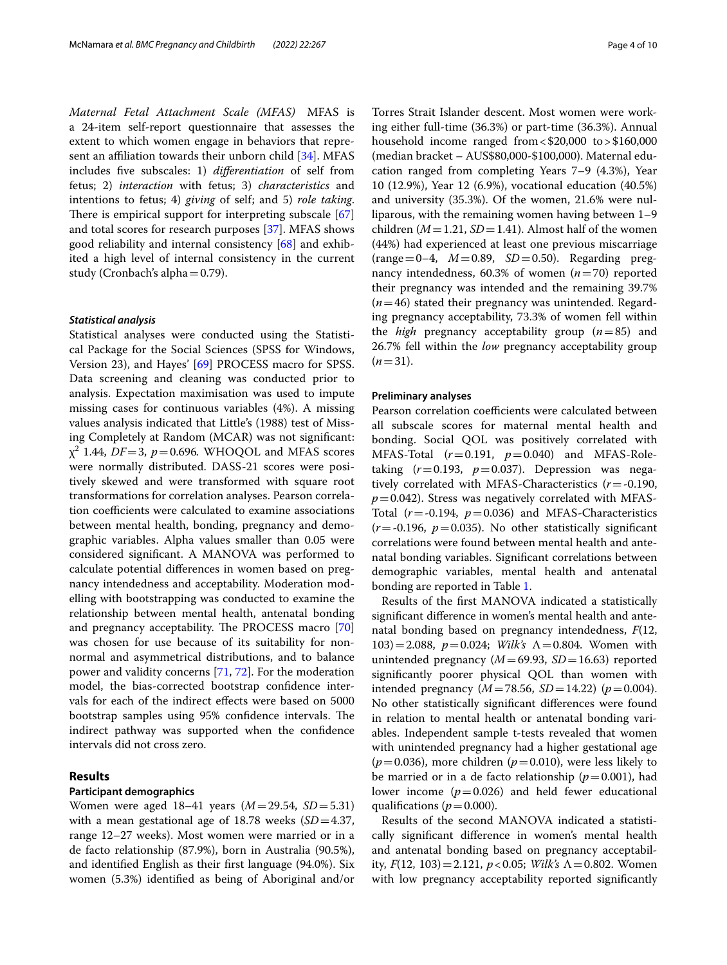*Maternal Fetal Attachment Scale (MFAS)* MFAS is a 24-item self-report questionnaire that assesses the extent to which women engage in behaviors that represent an affiliation towards their unborn child  $[34]$  $[34]$  $[34]$ . MFAS includes fve subscales: 1) *diferentiation* of self from fetus; 2) *interaction* with fetus; 3) *characteristics* and intentions to fetus; 4) *giving* of self; and 5) *role taking*. There is empirical support for interpreting subscale  $[67]$  $[67]$  $[67]$ and total scores for research purposes [[37\]](#page-8-21). MFAS shows good reliability and internal consistency [[68\]](#page-9-6) and exhibited a high level of internal consistency in the current study (Cronbach's alpha=0.79).

#### *Statistical analysis*

Statistical analyses were conducted using the Statistical Package for the Social Sciences (SPSS for Windows, Version 23), and Hayes' [\[69](#page-9-7)] PROCESS macro for SPSS. Data screening and cleaning was conducted prior to analysis. Expectation maximisation was used to impute missing cases for continuous variables (4%). A missing values analysis indicated that Little's (1988) test of Missing Completely at Random (MCAR) was not signifcant:  $\chi^2$  1.44, *DF*=3, *p*=0.696. WHOQOL and MFAS scores were normally distributed. DASS-21 scores were positively skewed and were transformed with square root transformations for correlation analyses. Pearson correlation coefficients were calculated to examine associations between mental health, bonding, pregnancy and demographic variables. Alpha values smaller than 0.05 were considered signifcant. A MANOVA was performed to calculate potential diferences in women based on pregnancy intendedness and acceptability. Moderation modelling with bootstrapping was conducted to examine the relationship between mental health, antenatal bonding and pregnancy acceptability. The PROCESS macro [[70](#page-9-8)] was chosen for use because of its suitability for nonnormal and asymmetrical distributions, and to balance power and validity concerns [\[71,](#page-9-9) [72\]](#page-9-10). For the moderation model, the bias-corrected bootstrap confdence intervals for each of the indirect efects were based on 5000 bootstrap samples using 95% confidence intervals. The indirect pathway was supported when the confidence intervals did not cross zero.

#### **Results**

#### **Participant demographics**

Women were aged 18–41 years (*M*=29.54, *SD*=5.31) with a mean gestational age of 18.78 weeks (*SD*=4.37, range 12–27 weeks). Most women were married or in a de facto relationship (87.9%), born in Australia (90.5%), and identifed English as their frst language (94.0%). Six women (5.3%) identifed as being of Aboriginal and/or

Torres Strait Islander descent. Most women were working either full-time (36.3%) or part-time (36.3%). Annual household income ranged from<\$20,000 to>\$160,000 (median bracket – AUS\$80,000-\$100,000). Maternal education ranged from completing Years 7–9 (4.3%), Year 10 (12.9%), Year 12 (6.9%), vocational education (40.5%) and university (35.3%). Of the women, 21.6% were nulliparous, with the remaining women having between 1–9 children ( $M = 1.21$ ,  $SD = 1.41$ ). Almost half of the women (44%) had experienced at least one previous miscarriage (range=0–4, *M*=0.89, *SD*=0.50). Regarding pregnancy intendedness, 60.3% of women (*n*=70) reported their pregnancy was intended and the remaining 39.7% (*n*=46) stated their pregnancy was unintended. Regarding pregnancy acceptability, 73.3% of women fell within the *high* pregnancy acceptability group (*n*=85) and 26.7% fell within the *low* pregnancy acceptability group  $(n=31)$ .

#### **Preliminary analyses**

Pearson correlation coefficients were calculated between all subscale scores for maternal mental health and bonding. Social QOL was positively correlated with MFAS-Total (*r*=0.191, *p*=0.040) and MFAS-Roletaking  $(r=0.193, p=0.037)$ . Depression was negatively correlated with MFAS-Characteristics (*r*=-0.190,  $p=0.042$ ). Stress was negatively correlated with MFAS-Total  $(r = -0.194, p = 0.036)$  and MFAS-Characteristics  $(r = -0.196, p = 0.035)$ . No other statistically significant correlations were found between mental health and antenatal bonding variables. Signifcant correlations between demographic variables, mental health and antenatal bonding are reported in Table [1.](#page-4-0)

Results of the frst MANOVA indicated a statistically signifcant diference in women's mental health and antenatal bonding based on pregnancy intendedness, *F*(12, 103)=2.088, *p*=0.024; *Wilk's* Λ=0.804. Women with unintended pregnancy  $(M=69.93, SD=16.63)$  reported signifcantly poorer physical QOL than women with intended pregnancy ( $M = 78.56$ ,  $SD = 14.22$ ) ( $p = 0.004$ ). No other statistically signifcant diferences were found in relation to mental health or antenatal bonding variables. Independent sample t-tests revealed that women with unintended pregnancy had a higher gestational age  $(p=0.036)$ , more children  $(p=0.010)$ , were less likely to be married or in a de facto relationship  $(p=0.001)$ , had lower income  $(p=0.026)$  and held fewer educational qualifications ( $p=0.000$ ).

Results of the second MANOVA indicated a statistically signifcant diference in women's mental health and antenatal bonding based on pregnancy acceptability, *F*(12, 103)=2.121, *p*<0.05; *Wilk's* Λ=0.802. Women with low pregnancy acceptability reported signifcantly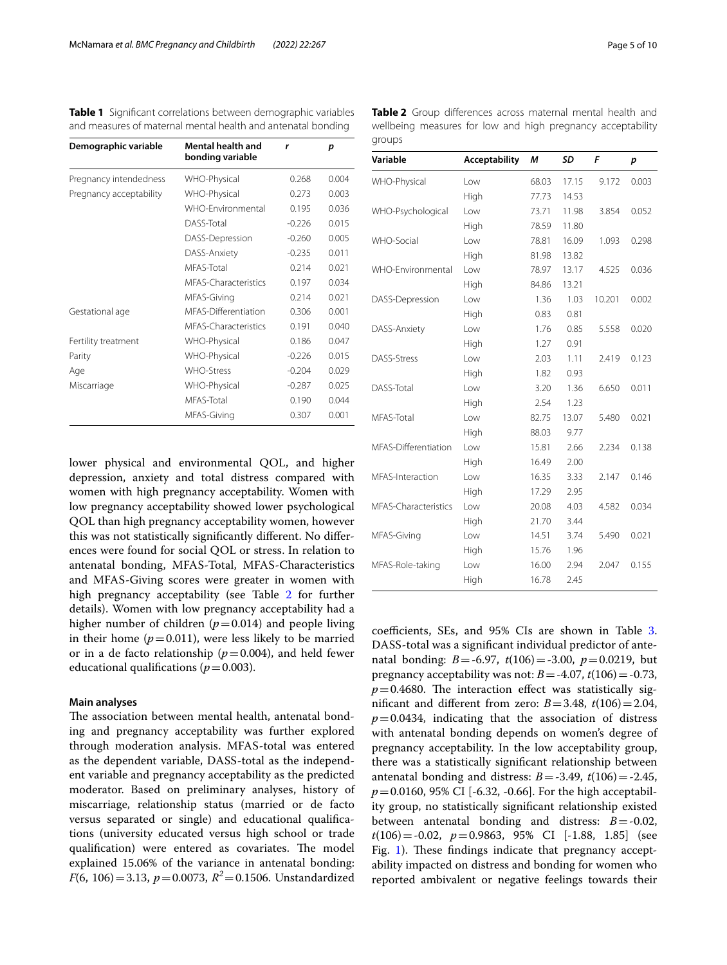<span id="page-4-0"></span>**Table 1** Signifcant correlations between demographic variables and measures of maternal mental health and antenatal bonding

| Demographic variable    | Mental health and<br>bonding variable | r        | p     |
|-------------------------|---------------------------------------|----------|-------|
| Pregnancy intendedness  | WHO-Physical                          | 0.268    | 0.004 |
| Pregnancy acceptability | WHO-Physical                          | 0.273    | 0.003 |
|                         | WHO-Environmental                     | 0.195    | 0.036 |
|                         | DASS-Total                            | $-0.226$ | 0.015 |
|                         | DASS-Depression                       | $-0.260$ | 0.005 |
|                         | DASS-Anxiety                          | $-0.235$ | 0.011 |
|                         | MFAS-Total                            | 0.214    | 0.021 |
|                         | MFAS-Characteristics                  | 0.197    | 0.034 |
|                         | MFAS-Giving                           | 0.214    | 0.021 |
| Gestational age         | MFAS-Differentiation                  | 0.306    | 0.001 |
|                         | MFAS-Characteristics                  | 0.191    | 0.040 |
| Fertility treatment     | WHO-Physical                          | 0.186    | 0.047 |
| Parity                  | WHO-Physical                          | $-0.226$ | 0.015 |
| Age                     | <b>WHO-Stress</b>                     | $-0.204$ | 0.029 |
| Miscarriage             | WHO-Physical                          | $-0.287$ | 0.025 |
|                         | MFAS-Total                            | 0.190    | 0.044 |
|                         | MFAS-Giving                           | 0.307    | 0.001 |

lower physical and environmental QOL, and higher depression, anxiety and total distress compared with women with high pregnancy acceptability. Women with low pregnancy acceptability showed lower psychological QOL than high pregnancy acceptability women, however this was not statistically signifcantly diferent. No diferences were found for social QOL or stress. In relation to antenatal bonding, MFAS-Total, MFAS-Characteristics and MFAS-Giving scores were greater in women with high pregnancy acceptability (see Table [2](#page-4-1) for further details). Women with low pregnancy acceptability had a higher number of children  $(p=0.014)$  and people living in their home  $(p=0.011)$ , were less likely to be married or in a de facto relationship  $(p=0.004)$ , and held fewer educational qualifications ( $p=0.003$ ).

#### **Main analyses**

The association between mental health, antenatal bonding and pregnancy acceptability was further explored through moderation analysis. MFAS-total was entered as the dependent variable, DASS-total as the independent variable and pregnancy acceptability as the predicted moderator. Based on preliminary analyses, history of miscarriage, relationship status (married or de facto versus separated or single) and educational qualifcations (university educated versus high school or trade qualification) were entered as covariates. The model explained 15.06% of the variance in antenatal bonding: *F*(6, 106) = 3.13, *p* = 0.0073,  $R^2$  = 0.1506. Unstandardized

<span id="page-4-1"></span>

| Variable             | Acceptability | M     | <b>SD</b> | F      | p     |
|----------------------|---------------|-------|-----------|--------|-------|
| WHO-Physical         | Low           | 68.03 | 17.15     | 9.172  | 0.003 |
|                      | High          | 77.73 | 14.53     |        |       |
| WHO-Psychological    | Low           | 73.71 | 11.98     | 3.854  | 0.052 |
|                      | High          | 78.59 | 11.80     |        |       |
| WHO-Social           | Low           | 78.81 | 16.09     | 1.093  | 0.298 |
|                      | High          | 81.98 | 13.82     |        |       |
| WHO-Environmental    | Low           | 78.97 | 13.17     | 4.525  | 0.036 |
|                      | High          | 84.86 | 13.21     |        |       |
| DASS-Depression      | Low           | 1.36  | 1.03      | 10.201 | 0.002 |
|                      | High          | 0.83  | 0.81      |        |       |
| DASS-Anxiety         | Low           | 1.76  | 0.85      | 5.558  | 0.020 |
|                      | High          | 1.27  | 0.91      |        |       |
| DASS-Stress          | Low           | 2.03  | 1.11      | 2.419  | 0.123 |
|                      | High          | 1.82  | 0.93      |        |       |
| DASS-Total           | Low           | 3.20  | 1.36      | 6.650  | 0.011 |
|                      | High          | 2.54  | 1.23      |        |       |
| MFAS-Total           | l ow          | 82.75 | 13.07     | 5.480  | 0.021 |
|                      | High          | 88.03 | 9.77      |        |       |
| MFAS-Differentiation | Low           | 15.81 | 2.66      | 2.234  | 0.138 |
|                      | High          | 16.49 | 2.00      |        |       |
| MFAS-Interaction     | l ow          | 16.35 | 3.33      | 2.147  | 0.146 |
|                      | High          | 17.29 | 2.95      |        |       |
| MFAS-Characteristics | Low           | 20.08 | 4.03      | 4.582  | 0.034 |
|                      | High          | 21.70 | 3.44      |        |       |
| MFAS-Giving          | l ow          | 14.51 | 3.74      | 5.490  | 0.021 |
|                      | High          | 15.76 | 1.96      |        |       |
| MFAS-Role-taking     | Low           | 16.00 | 2.94      | 2.047  | 0.155 |
|                      | High          | 16.78 | 2.45      |        |       |

coefficients, SEs, and 95% CIs are shown in Table [3](#page-5-0). DASS-total was a signifcant individual predictor of antenatal bonding: *B*=-6.97, *t*(106)=-3.00, *p*=0.0219, but pregnancy acceptability was not:  $B = -4.07$ ,  $t(106) = -0.73$ ,  $p=0.4680$ . The interaction effect was statistically significant and different from zero:  $B = 3.48$ ,  $t(106) = 2.04$ ,  $p=0.0434$ , indicating that the association of distress with antenatal bonding depends on women's degree of pregnancy acceptability. In the low acceptability group, there was a statistically signifcant relationship between antenatal bonding and distress:  $B = -3.49$ ,  $t(106) = -2.45$ , *p*=0.0160, 95% CI [-6.32, -0.66]. For the high acceptability group, no statistically signifcant relationship existed between antenatal bonding and distress: *B*=-0.02, *t*(106)=-0.02, *p*=0.9863, 95% CI [-1.88, 1.85] (see Fig. [1\)](#page-5-1). These findings indicate that pregnancy acceptability impacted on distress and bonding for women who reported ambivalent or negative feelings towards their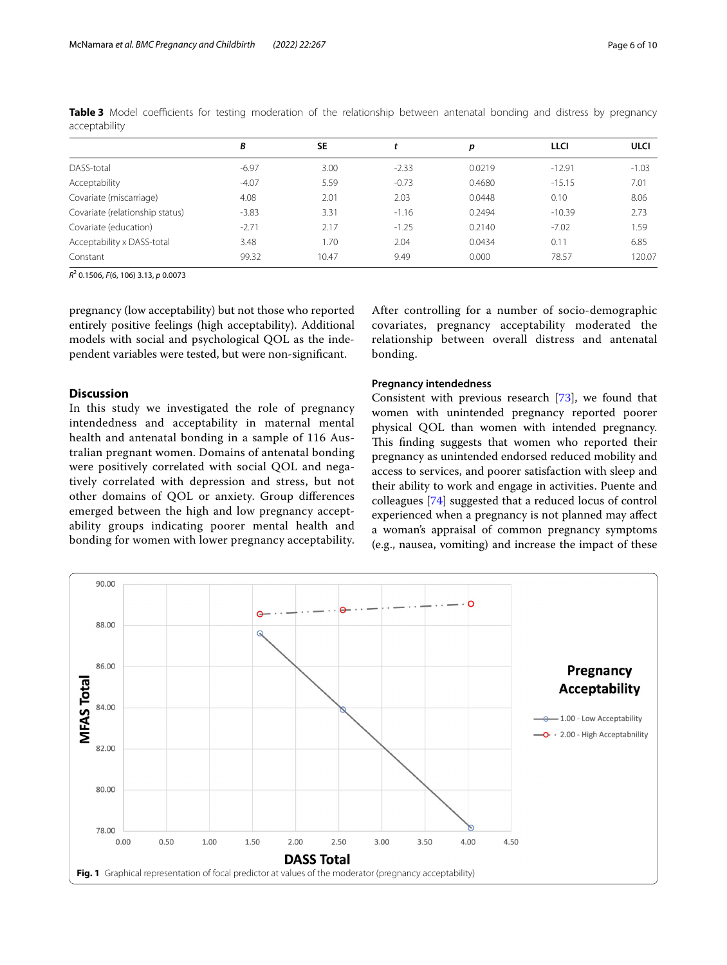|                                 | В       | <b>SE</b> |         | р      | LLCI     | <b>ULCI</b> |
|---------------------------------|---------|-----------|---------|--------|----------|-------------|
| DASS-total                      | $-6.97$ | 3.00      | $-2.33$ | 0.0219 | $-12.91$ | $-1.03$     |
| Acceptability                   | $-4.07$ | 5.59      | $-0.73$ | 0.4680 | $-15.15$ | 7.01        |
| Covariate (miscarriage)         | 4.08    | 2.01      | 2.03    | 0.0448 | 0.10     | 8.06        |
| Covariate (relationship status) | $-3.83$ | 3.31      | $-1.16$ | 0.2494 | $-10.39$ | 2.73        |
| Covariate (education)           | $-2.71$ | 2.17      | $-1.25$ | 0.2140 | $-7.02$  | 1.59        |
| Acceptability x DASS-total      | 3.48    | .70       | 2.04    | 0.0434 | 0.11     | 6.85        |
| Constant                        | 99.32   | 10.47     | 9.49    | 0.000  | 78.57    | 120.07      |

<span id="page-5-0"></span>**Table 3** Model coefficients for testing moderation of the relationship between antenatal bonding and distress by pregnancy acceptability

*R*2 0.1506, *F*(6, 106) 3.13, *p* 0.0073

pregnancy (low acceptability) but not those who reported entirely positive feelings (high acceptability). Additional models with social and psychological QOL as the independent variables were tested, but were non-signifcant.

#### **Discussion**

In this study we investigated the role of pregnancy intendedness and acceptability in maternal mental health and antenatal bonding in a sample of 116 Australian pregnant women. Domains of antenatal bonding were positively correlated with social QOL and negatively correlated with depression and stress, but not other domains of QOL or anxiety. Group diferences emerged between the high and low pregnancy acceptability groups indicating poorer mental health and bonding for women with lower pregnancy acceptability.

After controlling for a number of socio-demographic covariates, pregnancy acceptability moderated the relationship between overall distress and antenatal bonding.

#### **Pregnancy intendedness**

Consistent with previous research [\[73\]](#page-9-11), we found that women with unintended pregnancy reported poorer physical QOL than women with intended pregnancy. This finding suggests that women who reported their pregnancy as unintended endorsed reduced mobility and access to services, and poorer satisfaction with sleep and their ability to work and engage in activities. Puente and colleagues [[74\]](#page-9-12) suggested that a reduced locus of control experienced when a pregnancy is not planned may afect a woman's appraisal of common pregnancy symptoms (e.g., nausea, vomiting) and increase the impact of these

<span id="page-5-1"></span>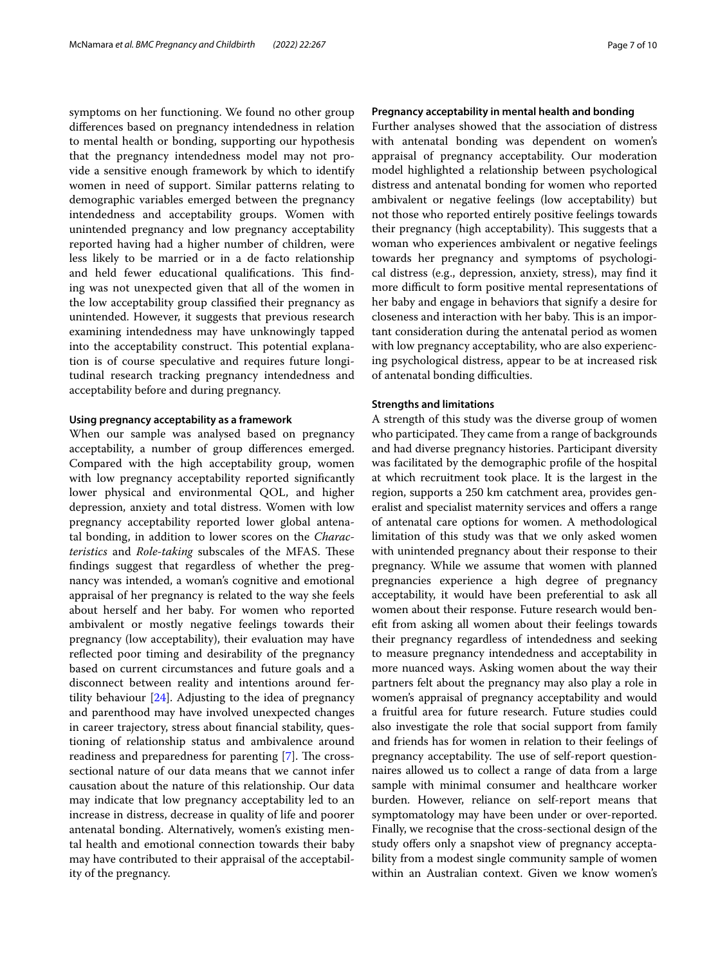symptoms on her functioning. We found no other group diferences based on pregnancy intendedness in relation to mental health or bonding, supporting our hypothesis that the pregnancy intendedness model may not provide a sensitive enough framework by which to identify women in need of support. Similar patterns relating to demographic variables emerged between the pregnancy intendedness and acceptability groups. Women with unintended pregnancy and low pregnancy acceptability reported having had a higher number of children, were less likely to be married or in a de facto relationship and held fewer educational qualifications. This finding was not unexpected given that all of the women in the low acceptability group classifed their pregnancy as unintended. However, it suggests that previous research examining intendedness may have unknowingly tapped into the acceptability construct. This potential explanation is of course speculative and requires future longitudinal research tracking pregnancy intendedness and acceptability before and during pregnancy.

#### **Using pregnancy acceptability as a framework**

When our sample was analysed based on pregnancy acceptability, a number of group diferences emerged. Compared with the high acceptability group, women with low pregnancy acceptability reported significantly lower physical and environmental QOL, and higher depression, anxiety and total distress. Women with low pregnancy acceptability reported lower global antenatal bonding, in addition to lower scores on the *Charac‑ teristics* and *Role-taking* subscales of the MFAS. These fndings suggest that regardless of whether the pregnancy was intended, a woman's cognitive and emotional appraisal of her pregnancy is related to the way she feels about herself and her baby. For women who reported ambivalent or mostly negative feelings towards their pregnancy (low acceptability), their evaluation may have reflected poor timing and desirability of the pregnancy based on current circumstances and future goals and a disconnect between reality and intentions around fertility behaviour [\[24](#page-8-8)]. Adjusting to the idea of pregnancy and parenthood may have involved unexpected changes in career trajectory, stress about fnancial stability, questioning of relationship status and ambivalence around readiness and preparedness for parenting [[7\]](#page-7-6). The crosssectional nature of our data means that we cannot infer causation about the nature of this relationship. Our data may indicate that low pregnancy acceptability led to an increase in distress, decrease in quality of life and poorer antenatal bonding. Alternatively, women's existing mental health and emotional connection towards their baby may have contributed to their appraisal of the acceptability of the pregnancy.

#### **Pregnancy acceptability in mental health and bonding**

Further analyses showed that the association of distress with antenatal bonding was dependent on women's appraisal of pregnancy acceptability. Our moderation model highlighted a relationship between psychological distress and antenatal bonding for women who reported ambivalent or negative feelings (low acceptability) but not those who reported entirely positive feelings towards their pregnancy (high acceptability). This suggests that a woman who experiences ambivalent or negative feelings towards her pregnancy and symptoms of psychological distress (e.g., depression, anxiety, stress), may fnd it more difficult to form positive mental representations of her baby and engage in behaviors that signify a desire for closeness and interaction with her baby. This is an important consideration during the antenatal period as women with low pregnancy acceptability, who are also experiencing psychological distress, appear to be at increased risk of antenatal bonding difficulties.

#### **Strengths and limitations**

A strength of this study was the diverse group of women who participated. They came from a range of backgrounds and had diverse pregnancy histories. Participant diversity was facilitated by the demographic profle of the hospital at which recruitment took place. It is the largest in the region, supports a 250 km catchment area, provides generalist and specialist maternity services and offers a range of antenatal care options for women. A methodological limitation of this study was that we only asked women with unintended pregnancy about their response to their pregnancy. While we assume that women with planned pregnancies experience a high degree of pregnancy acceptability, it would have been preferential to ask all women about their response. Future research would beneft from asking all women about their feelings towards their pregnancy regardless of intendedness and seeking to measure pregnancy intendedness and acceptability in more nuanced ways. Asking women about the way their partners felt about the pregnancy may also play a role in women's appraisal of pregnancy acceptability and would a fruitful area for future research. Future studies could also investigate the role that social support from family and friends has for women in relation to their feelings of pregnancy acceptability. The use of self-report questionnaires allowed us to collect a range of data from a large sample with minimal consumer and healthcare worker burden. However, reliance on self-report means that symptomatology may have been under or over-reported. Finally, we recognise that the cross-sectional design of the study offers only a snapshot view of pregnancy acceptability from a modest single community sample of women within an Australian context. Given we know women's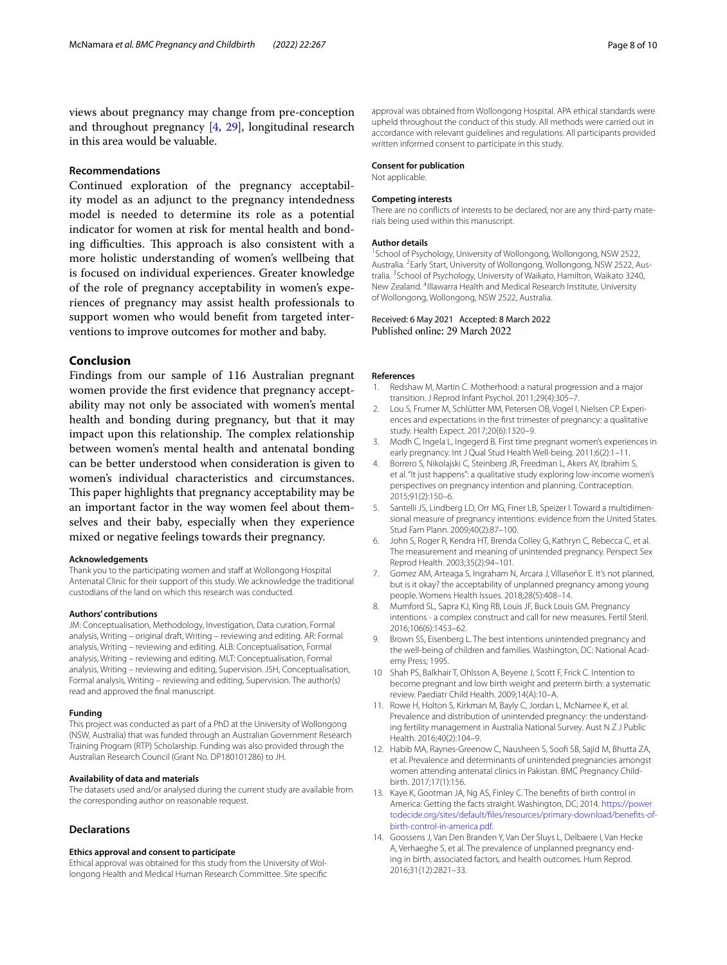views about pregnancy may change from pre-conception and throughout pregnancy [\[4](#page-7-3), [29\]](#page-8-13), longitudinal research in this area would be valuable.

#### **Recommendations**

Continued exploration of the pregnancy acceptability model as an adjunct to the pregnancy intendedness model is needed to determine its role as a potential indicator for women at risk for mental health and bonding difficulties. This approach is also consistent with a more holistic understanding of women's wellbeing that is focused on individual experiences. Greater knowledge of the role of pregnancy acceptability in women's experiences of pregnancy may assist health professionals to support women who would beneft from targeted interventions to improve outcomes for mother and baby.

#### **Conclusion**

Findings from our sample of 116 Australian pregnant women provide the frst evidence that pregnancy acceptability may not only be associated with women's mental health and bonding during pregnancy, but that it may impact upon this relationship. The complex relationship between women's mental health and antenatal bonding can be better understood when consideration is given to women's individual characteristics and circumstances. This paper highlights that pregnancy acceptability may be an important factor in the way women feel about themselves and their baby, especially when they experience mixed or negative feelings towards their pregnancy.

#### **Acknowledgements**

Thank you to the participating women and staff at Wollongong Hospital Antenatal Clinic for their support of this study. We acknowledge the traditional custodians of the land on which this research was conducted.

#### **Authors' contributions**

JM: Conceptualisation, Methodology, Investigation, Data curation, Formal analysis, Writing – original draft, Writing – reviewing and editing. AR: Formal analysis, Writing – reviewing and editing. ALB: Conceptualisation, Formal analysis, Writing – reviewing and editing. MLT: Conceptualisation, Formal analysis, Writing – reviewing and editing, Supervision. JSH, Conceptualisation, Formal analysis, Writing – reviewing and editing, Supervision. The author(s) read and approved the fnal manuscript.

#### **Funding**

This project was conducted as part of a PhD at the University of Wollongong (NSW, Australia) that was funded through an Australian Government Research Training Program (RTP) Scholarship. Funding was also provided through the Australian Research Council (Grant No. DP180101286) to JH.

#### **Availability of data and materials**

The datasets used and/or analysed during the current study are available from the corresponding author on reasonable request.

#### **Declarations**

#### **Ethics approval and consent to participate**

Ethical approval was obtained for this study from the University of Wollongong Health and Medical Human Research Committee. Site specifc

#### **Consent for publication**

Not applicable.

#### **Competing interests**

There are no conficts of interests to be declared, nor are any third-party materials being used within this manuscript.

#### **Author details**

<sup>1</sup> School of Psychology, University of Wollongong, Wollongong, NSW 2522, Australia. <sup>2</sup> Early Start, University of Wollongong, Wollongong, NSW 2522, Australia. <sup>3</sup> School of Psychology, University of Waikato, Hamilton, Waikato 3240, New Zealand. <sup>4</sup>Illawarra Health and Medical Research Institute, University of Wollongong, Wollongong, NSW 2522, Australia.

# Received: 6 May 2021 Accepted: 8 March 2022<br>Published online: 29 March 2022

#### **References**

- <span id="page-7-0"></span>1. Redshaw M, Martin C. Motherhood: a natural progression and a major transition. J Reprod Infant Psychol. 2011;29(4):305–7.
- <span id="page-7-1"></span>2. Lou S, Frumer M, Schlütter MM, Petersen OB, Vogel I, Nielsen CP. Experiences and expectations in the frst trimester of pregnancy: a qualitative study. Health Expect. 2017;20(6):1320–9.
- <span id="page-7-2"></span>3. Modh C, Ingela L, Ingegerd B. First time pregnant women's experiences in early pregnancy. Int J Qual Stud Health Well-being. 2011;6(2):1–11.
- <span id="page-7-3"></span>4. Borrero S, Nikolajski C, Steinberg JR, Freedman L, Akers AY, Ibrahim S, et al. "It just happens": a qualitative study exploring low-income women's perspectives on pregnancy intention and planning. Contraception. 2015;91(2):150–6.
- <span id="page-7-4"></span>5. Santelli JS, Lindberg LD, Orr MG, Finer LB, Speizer I. Toward a multidimensional measure of pregnancy intentions: evidence from the United States. Stud Fam Plann. 2009;40(2):87–100.
- <span id="page-7-5"></span>6. John S, Roger R, Kendra HT, Brenda Colley G, Kathryn C, Rebecca C, et al. The measurement and meaning of unintended pregnancy. Perspect Sex Reprod Health. 2003;35(2):94–101.
- <span id="page-7-6"></span>7. Gomez AM, Arteaga S, Ingraham N, Arcara J, Villaseñor E. It's not planned, but is it okay? the acceptability of unplanned pregnancy among young people. Womens Health Issues. 2018;28(5):408–14.
- <span id="page-7-7"></span>8. Mumford SL, Sapra KJ, King RB, Louis JF, Buck Louis GM. Pregnancy intentions - a complex construct and call for new measures. Fertil Steril. 2016;106(6):1453–62.
- <span id="page-7-8"></span>Brown SS, Eisenberg L. The best intentions unintended pregnancy and the well-being of children and families. Washington, DC: National Academy Press; 1995.
- <span id="page-7-9"></span>10 Shah PS, Balkhair T, Ohlsson A, Beyene J, Scott F, Frick C. Intention to become pregnant and low birth weight and preterm birth: a systematic review. Paediatr Child Health. 2009;14(A):10–A.
- <span id="page-7-10"></span>11. Rowe H, Holton S, Kirkman M, Bayly C, Jordan L, McNamee K, et al. Prevalence and distribution of unintended pregnancy: the understanding fertility management in Australia National Survey. Aust N Z J Public Health. 2016;40(2):104–9.
- 12. Habib MA, Raynes-Greenow C, Nausheen S, Soof SB, Sajid M, Bhutta ZA, et al. Prevalence and determinants of unintended pregnancies amongst women attending antenatal clinics in Pakistan. BMC Pregnancy Childbirth. 2017;17(1):156.
- <span id="page-7-11"></span>13. Kaye K, Gootman JA, Ng AS, Finley C. The benefts of birth control in America: Getting the facts straight. Washington, DC; 2014. [https://power](https://powertodecide.org/sites/default/files/resources/primary-download/benefits-of-birth-control-in-america.pdf) [todecide.org/sites/default/fles/resources/primary-download/benefits-of](https://powertodecide.org/sites/default/files/resources/primary-download/benefits-of-birth-control-in-america.pdf)[birth-control-in-america.pdf](https://powertodecide.org/sites/default/files/resources/primary-download/benefits-of-birth-control-in-america.pdf).
- <span id="page-7-12"></span>14. Goossens J, Van Den Branden Y, Van Der Sluys L, Delbaere I, Van Hecke A, Verhaeghe S, et al. The prevalence of unplanned pregnancy ending in birth, associated factors, and health outcomes. Hum Reprod. 2016;31(12):2821–33.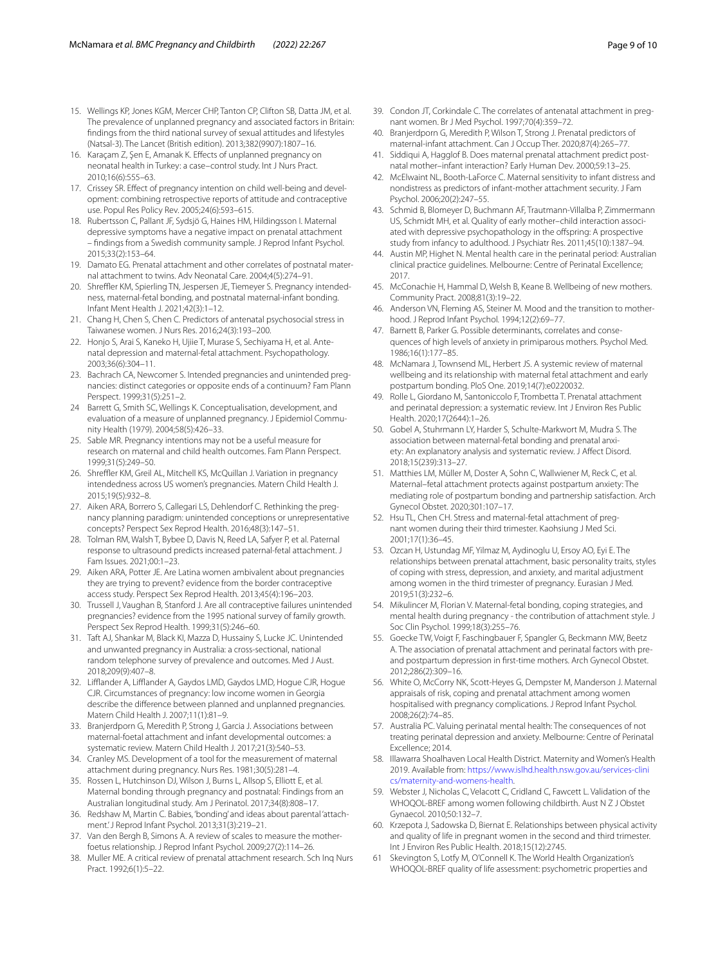- <span id="page-8-0"></span>15. Wellings KP, Jones KGM, Mercer CHP, Tanton CP, Clifton SB, Datta JM, et al. The prevalence of unplanned pregnancy and associated factors in Britain: fndings from the third national survey of sexual attitudes and lifestyles (Natsal-3). The Lancet (British edition). 2013;382(9907):1807–16.
- <span id="page-8-1"></span>16. Karaçam Z, Şen E, Amanak K. Efects of unplanned pregnancy on neonatal health in Turkey: a case–control study. Int J Nurs Pract. 2010;16(6):555–63.
- <span id="page-8-2"></span>17. Crissey SR. Effect of pregnancy intention on child well-being and development: combining retrospective reports of attitude and contraceptive use. Popul Res Policy Rev. 2005;24(6):593–615.
- <span id="page-8-3"></span>18. Rubertsson C, Pallant JF, Sydsjö G, Haines HM, Hildingsson I. Maternal depressive symptoms have a negative impact on prenatal attachment – fndings from a Swedish community sample. J Reprod Infant Psychol. 2015;33(2):153–64.
- <span id="page-8-4"></span>19. Damato EG. Prenatal attachment and other correlates of postnatal maternal attachment to twins. Adv Neonatal Care. 2004;4(5):274–91.
- <span id="page-8-5"></span>20. Shreffler KM, Spierling TN, Jespersen JE, Tiemeyer S. Pregnancy intendedness, maternal-fetal bonding, and postnatal maternal-infant bonding. Infant Ment Health J. 2021;42(3):1–12.
- 21. Chang H, Chen S, Chen C. Predictors of antenatal psychosocial stress in Taiwanese women. J Nurs Res. 2016;24(3):193–200.
- <span id="page-8-6"></span>22. Honjo S, Arai S, Kaneko H, Ujiie T, Murase S, Sechiyama H, et al. Antenatal depression and maternal-fetal attachment. Psychopathology. 2003;36(6):304–11.
- <span id="page-8-7"></span>23. Bachrach CA, Newcomer S. Intended pregnancies and unintended pregnancies: distinct categories or opposite ends of a continuum? Fam Plann Perspect. 1999;31(5):251–2.
- <span id="page-8-8"></span>24 Barrett G, Smith SC, Wellings K. Conceptualisation, development, and evaluation of a measure of unplanned pregnancy. J Epidemiol Community Health (1979). 2004;58(5):426–33.
- <span id="page-8-9"></span>25. Sable MR. Pregnancy intentions may not be a useful measure for research on maternal and child health outcomes. Fam Plann Perspect. 1999;31(5):249–50.
- <span id="page-8-10"></span>26. Shreffler KM, Greil AL, Mitchell KS, McQuillan J. Variation in pregnancy intendedness across US women's pregnancies. Matern Child Health J. 2015;19(5):932–8.
- <span id="page-8-11"></span>27. Aiken ARA, Borrero S, Callegari LS, Dehlendorf C. Rethinking the pregnancy planning paradigm: unintended conceptions or unrepresentative concepts? Perspect Sex Reprod Health. 2016;48(3):147–51.
- <span id="page-8-12"></span>28. Tolman RM, Walsh T, Bybee D, Davis N, Reed LA, Safyer P, et al. Paternal response to ultrasound predicts increased paternal-fetal attachment. J Fam Issues. 2021;00:1–23.
- <span id="page-8-13"></span>29. Aiken ARA, Potter JE. Are Latina women ambivalent about pregnancies they are trying to prevent? evidence from the border contraceptive access study. Perspect Sex Reprod Health. 2013;45(4):196–203.
- <span id="page-8-14"></span>30. Trussell J, Vaughan B, Stanford J. Are all contraceptive failures unintended pregnancies? evidence from the 1995 national survey of family growth. Perspect Sex Reprod Health. 1999;31(5):246–60.
- <span id="page-8-15"></span>31. Taft AJ, Shankar M, Black KI, Mazza D, Hussainy S, Lucke JC. Unintended and unwanted pregnancy in Australia: a cross-sectional, national random telephone survey of prevalence and outcomes. Med J Aust. 2018;209(9):407–8.
- <span id="page-8-16"></span>32. Lifander A, Lifander A, Gaydos LMD, Gaydos LMD, Hogue CJR, Hogue CJR. Circumstances of pregnancy: low income women in Georgia describe the diference between planned and unplanned pregnancies. Matern Child Health J. 2007;11(1):81–9.
- <span id="page-8-17"></span>33. Branjerdporn G, Meredith P, Strong J, Garcia J. Associations between maternal-foetal attachment and infant developmental outcomes: a systematic review. Matern Child Health J. 2017;21(3):540–53.
- <span id="page-8-18"></span>34. Cranley MS. Development of a tool for the measurement of maternal attachment during pregnancy. Nurs Res. 1981;30(5):281–4.
- <span id="page-8-19"></span>35. Rossen L, Hutchinson DJ, Wilson J, Burns L, Allsop S, Elliott E, et al. Maternal bonding through pregnancy and postnatal: Findings from an Australian longitudinal study. Am J Perinatol. 2017;34(8):808–17.
- <span id="page-8-20"></span>36. Redshaw M, Martin C. Babies, 'bonding' and ideas about parental 'attachment.' J Reprod Infant Psychol. 2013;31(3):219–21.
- <span id="page-8-21"></span>37. Van den Bergh B, Simons A. A review of scales to measure the motherfoetus relationship. J Reprod Infant Psychol. 2009;27(2):114–26.
- <span id="page-8-22"></span>38. Muller ME. A critical review of prenatal attachment research. Sch Inq Nurs Pract. 1992;6(1):5–22.
- <span id="page-8-23"></span>39. Condon JT, Corkindale C. The correlates of antenatal attachment in pregnant women. Br J Med Psychol. 1997;70(4):359–72.
- <span id="page-8-24"></span>40. Branjerdporn G, Meredith P, Wilson T, Strong J. Prenatal predictors of maternal-infant attachment. Can J Occup Ther. 2020;87(4):265–77.
- <span id="page-8-25"></span>41. Siddiqui A, Hagglof B. Does maternal prenatal attachment predict postnatal mother–infant interaction? Early Human Dev. 2000;59:13–25.
- <span id="page-8-26"></span>42. McElwaint NL, Booth-LaForce C. Maternal sensitivity to infant distress and nondistress as predictors of infant-mother attachment security. J Fam Psychol. 2006;20(2):247–55.
- <span id="page-8-27"></span>43. Schmid B, Blomeyer D, Buchmann AF, Trautmann-Villalba P, Zimmermann US, Schmidt MH, et al. Quality of early mother–child interaction associated with depressive psychopathology in the ofspring: A prospective study from infancy to adulthood. J Psychiatr Res. 2011;45(10):1387–94.
- <span id="page-8-28"></span>44. Austin MP, Highet N. Mental health care in the perinatal period: Australian clinical practice guidelines. Melbourne: Centre of Perinatal Excellence; 2017.
- <span id="page-8-29"></span>45. McConachie H, Hammal D, Welsh B, Keane B. Wellbeing of new mothers. Community Pract. 2008;81(3):19–22.
- <span id="page-8-30"></span>46. Anderson VN, Fleming AS, Steiner M. Mood and the transition to motherhood. J Reprod Infant Psychol. 1994;12(2):69–77.
- <span id="page-8-31"></span>47. Barnett B, Parker G. Possible determinants, correlates and consequences of high levels of anxiety in primiparous mothers. Psychol Med. 1986;16(1):177–85.
- <span id="page-8-32"></span>48. McNamara J, Townsend ML, Herbert JS. A systemic review of maternal wellbeing and its relationship with maternal fetal attachment and early postpartum bonding. PloS One. 2019;14(7):e0220032.
- <span id="page-8-33"></span>49. Rolle L, Giordano M, Santoniccolo F, Trombetta T. Prenatal attachment and perinatal depression: a systematic review. Int J Environ Res Public Health. 2020;17(2644):1–26.
- <span id="page-8-34"></span>50. Gobel A, Stuhrmann LY, Harder S, Schulte-Markwort M, Mudra S. The association between maternal-fetal bonding and prenatal anxiety: An explanatory analysis and systematic review. J Afect Disord. 2018;15(239):313–27.
- <span id="page-8-35"></span>51. Matthies LM, Müller M, Doster A, Sohn C, Wallwiener M, Reck C, et al. Maternal–fetal attachment protects against postpartum anxiety: The mediating role of postpartum bonding and partnership satisfaction. Arch Gynecol Obstet. 2020;301:107–17.
- <span id="page-8-36"></span>52. Hsu TL, Chen CH. Stress and maternal-fetal attachment of pregnant women during their third trimester. Kaohsiung J Med Sci. 2001;17(1):36–45.
- <span id="page-8-37"></span>53. Ozcan H, Ustundag MF, Yilmaz M, Aydinoglu U, Ersoy AO, Eyi E. The relationships between prenatal attachment, basic personality traits, styles of coping with stress, depression, and anxiety, and marital adjustment among women in the third trimester of pregnancy. Eurasian J Med. 2019;51(3):232–6.
- <span id="page-8-38"></span>54. Mikulincer M, Florian V. Maternal-fetal bonding, coping strategies, and mental health during pregnancy - the contribution of attachment style. J Soc Clin Psychol. 1999;18(3):255–76.
- <span id="page-8-39"></span>55. Goecke TW, Voigt F, Faschingbauer F, Spangler G, Beckmann MW, Beetz A. The association of prenatal attachment and perinatal factors with preand postpartum depression in frst-time mothers. Arch Gynecol Obstet. 2012;286(2):309–16.
- <span id="page-8-40"></span>56. White O, McCorry NK, Scott-Heyes G, Dempster M, Manderson J. Maternal appraisals of risk, coping and prenatal attachment among women hospitalised with pregnancy complications. J Reprod Infant Psychol. 2008;26(2):74–85.
- <span id="page-8-41"></span>57. Australia PC. Valuing perinatal mental health: The consequences of not treating perinatal depression and anxiety. Melbourne: Centre of Perinatal Excellence; 2014.
- <span id="page-8-42"></span>58. Illawarra Shoalhaven Local Health District. Maternity and Women's Health 2019. Available from: [https://www.islhd.health.nsw.gov.au/services-clini](https://www.islhd.health.nsw.gov.au/services-clinics/maternity-and-womens-health) [cs/maternity-and-womens-health.](https://www.islhd.health.nsw.gov.au/services-clinics/maternity-and-womens-health)
- <span id="page-8-43"></span>59. Webster J, Nicholas C, Velacott C, Cridland C, Fawcett L. Validation of the WHOQOL-BREF among women following childbirth. Aust N Z J Obstet Gynaecol. 2010;50:132–7.
- <span id="page-8-44"></span>60. Krzepota J, Sadowska D, Biernat E. Relationships between physical activity and quality of life in pregnant women in the second and third trimester. Int J Environ Res Public Health. 2018;15(12):2745.
- <span id="page-8-45"></span>61 Skevington S, Lotfy M, O'Connell K. The World Health Organization's WHOQOL-BREF quality of life assessment: psychometric properties and